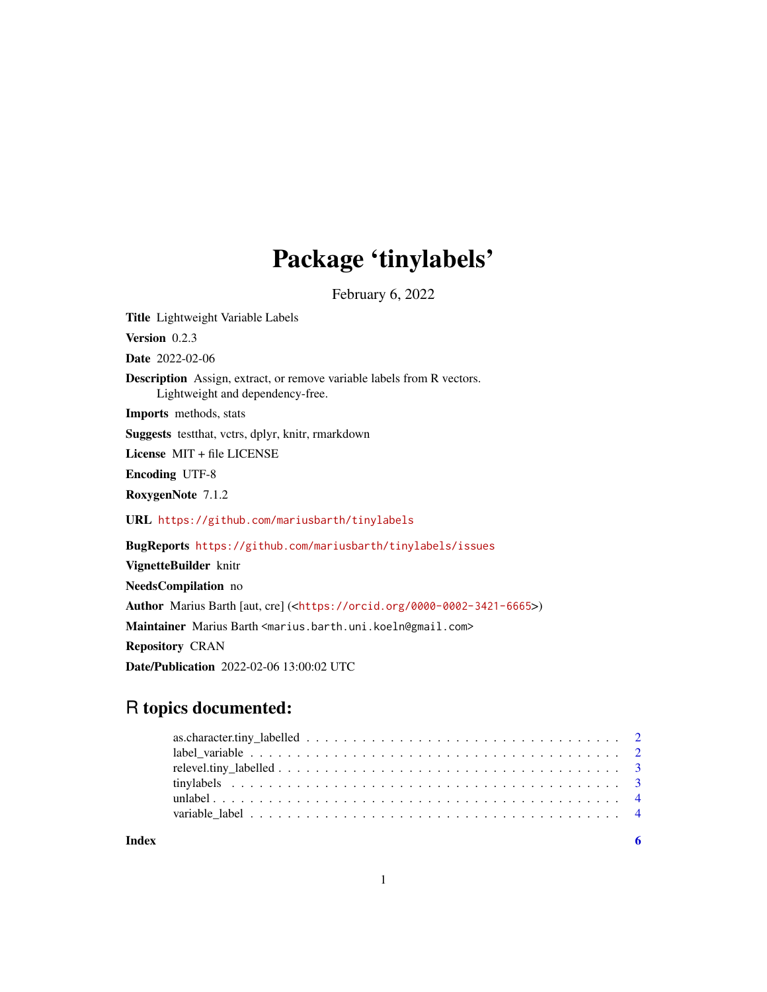## Package 'tinylabels'

February 6, 2022

<span id="page-0-0"></span>Title Lightweight Variable Labels Version 0.2.3 Date 2022-02-06 Description Assign, extract, or remove variable labels from R vectors. Lightweight and dependency-free. Imports methods, stats Suggests testthat, vctrs, dplyr, knitr, rmarkdown License MIT + file LICENSE Encoding UTF-8 RoxygenNote 7.1.2 URL <https://github.com/mariusbarth/tinylabels> BugReports <https://github.com/mariusbarth/tinylabels/issues> VignetteBuilder knitr NeedsCompilation no Author Marius Barth [aut, cre] (<<https://orcid.org/0000-0002-3421-6665>>) Maintainer Marius Barth <marius.barth.uni.koeln@gmail.com> Repository CRAN Date/Publication 2022-02-06 13:00:02 UTC

### R topics documented:

**Index** [6](#page-5-0) **6**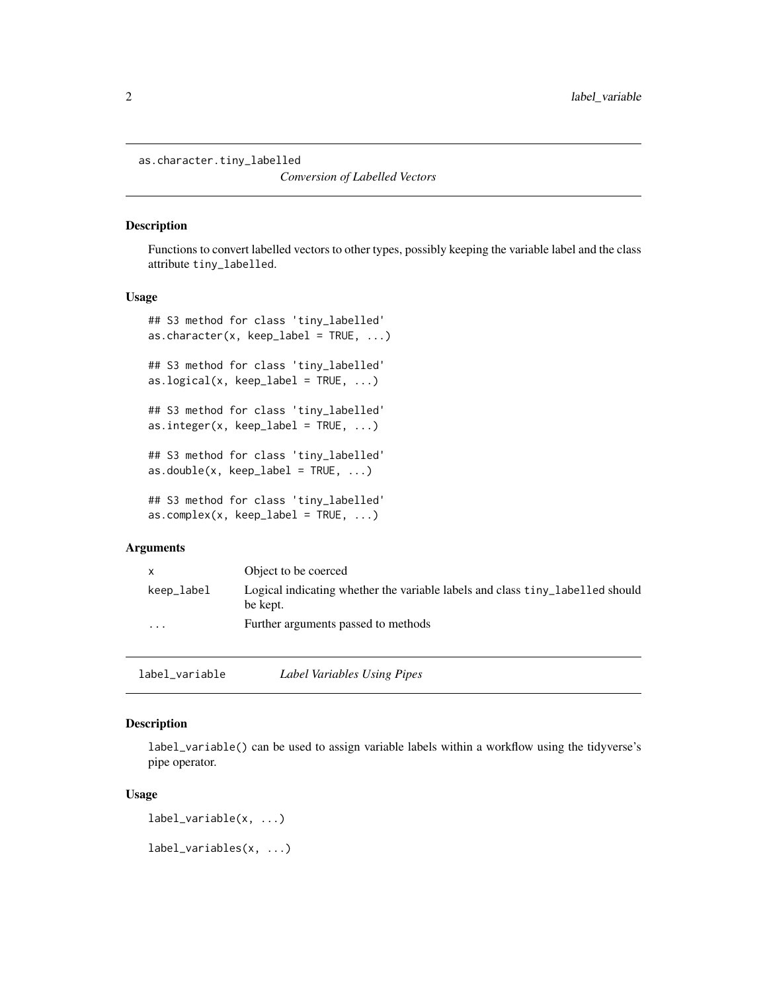```
as.character.tiny_labelled
```
*Conversion of Labelled Vectors*

#### Description

Functions to convert labelled vectors to other types, possibly keeping the variable label and the class attribute tiny\_labelled.

#### Usage

```
## S3 method for class 'tiny_labelled'
as. character(x, keep\_label = TRUE, ...)## S3 method for class 'tiny_labelled'
as.logical(x, keep_label = TRUE, ...)
## S3 method for class 'tiny_labelled'
as.integer(x, keep\_label = TRUE, ...)## S3 method for class 'tiny_labelled'
as.double(x, keep\_label = TRUE, ...)## S3 method for class 'tiny_labelled'
as.complex(x, keep\_label = TRUE, ...)
```
#### **Arguments**

| X          | Object to be coerced                                                                      |
|------------|-------------------------------------------------------------------------------------------|
| keep_label | Logical indicating whether the variable labels and class tiny labelled should<br>be kept. |
| $\cdots$   | Further arguments passed to methods                                                       |

<span id="page-1-1"></span>label\_variable *Label Variables Using Pipes*

#### Description

label\_variable() can be used to assign variable labels within a workflow using the tidyverse's pipe operator.

#### Usage

```
label_variable(x, ...)
```
label\_variables(x, ...)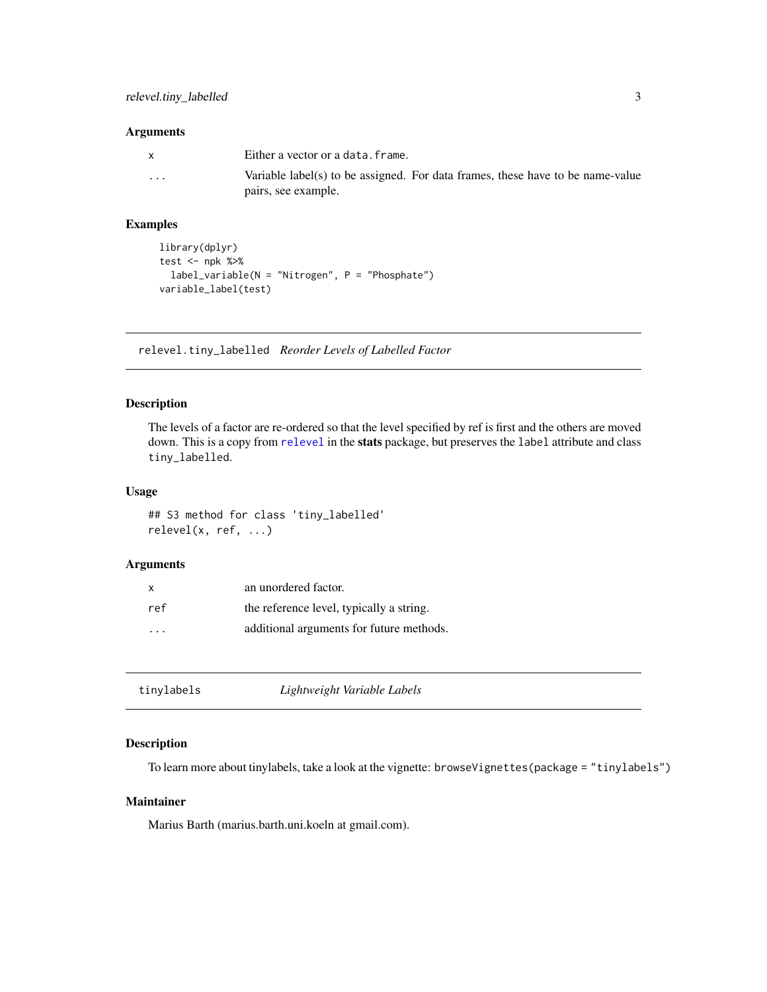#### <span id="page-2-0"></span>Arguments

| X | Either a vector or a data. frame.                                              |
|---|--------------------------------------------------------------------------------|
| . | Variable label(s) to be assigned. For data frames, these have to be name-value |
|   | pairs, see example.                                                            |

#### Examples

```
library(dplyr)
test <- npk %>%
 label_variable(N = "Nitrogen", P = "Phosphate")
variable_label(test)
```
relevel.tiny\_labelled *Reorder Levels of Labelled Factor*

#### Description

The levels of a factor are re-ordered so that the level specified by ref is first and the others are moved down. This is a copy from [relevel](#page-0-0) in the stats package, but preserves the label attribute and class tiny\_labelled.

#### Usage

## S3 method for class 'tiny\_labelled' relevel(x, ref, ...)

#### Arguments

| X   | an unordered factor.                     |
|-----|------------------------------------------|
| ref | the reference level, typically a string. |
| .   | additional arguments for future methods. |

| Lightweight Variable Labels<br>tinylabels |  |
|-------------------------------------------|--|
|-------------------------------------------|--|

#### Description

To learn more about tinylabels, take a look at the vignette: browseVignettes(package = "tinylabels")

#### Maintainer

Marius Barth (marius.barth.uni.koeln at gmail.com).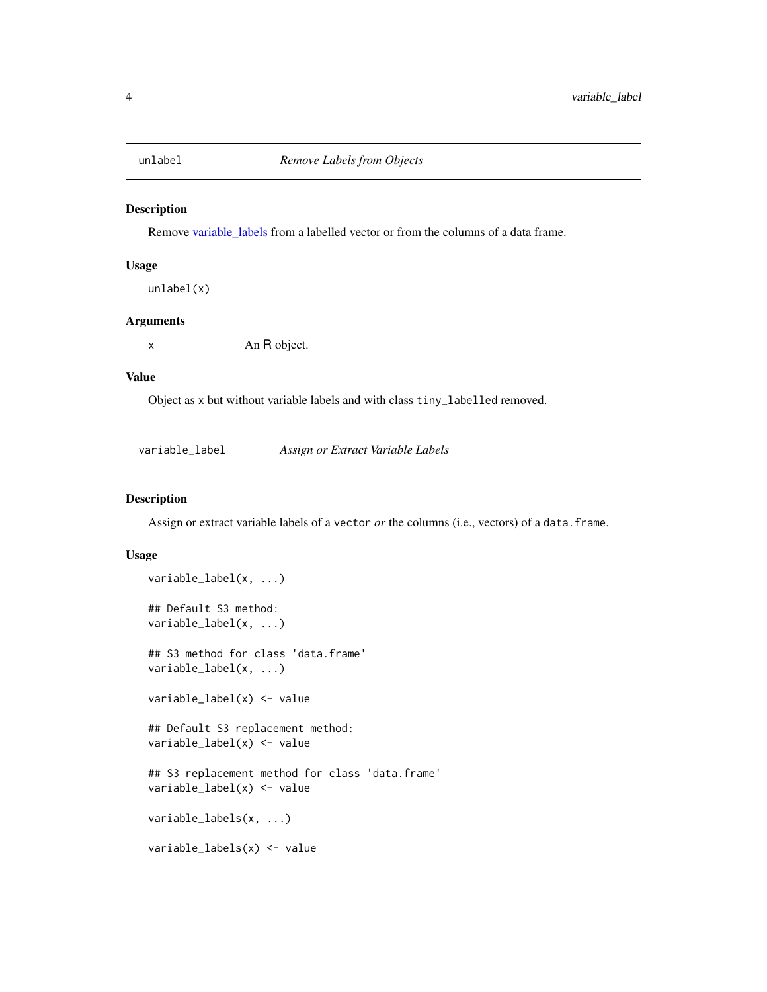<span id="page-3-0"></span>

#### Description

Remove [variable\\_labels](#page-3-1) from a labelled vector or from the columns of a data frame.

#### Usage

unlabel(x)

#### Arguments

x An R object.

#### Value

Object as x but without variable labels and with class tiny\_labelled removed.

variable\_label *Assign or Extract Variable Labels*

#### <span id="page-3-1"></span>Description

Assign or extract variable labels of a vector or the columns (i.e., vectors) of a data.frame.

#### Usage

```
variable_label(x, ...)
## Default S3 method:
variable_label(x, ...)
## S3 method for class 'data.frame'
variable_label(x, ...)
variable_label(x) <- value
## Default S3 replacement method:
variable_label(x) <- value
## S3 replacement method for class 'data.frame'
variable_label(x) <- value
variable_labels(x, ...)
variable_labels(x) <- value
```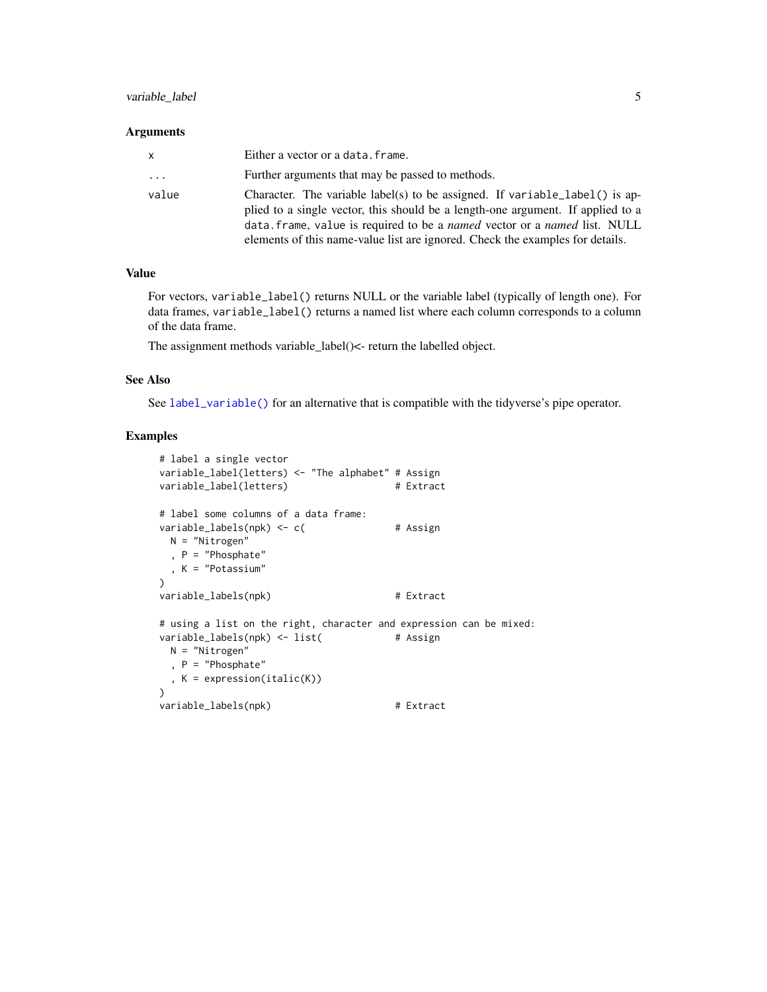#### <span id="page-4-0"></span>variable\_label 5

#### **Arguments**

| x        | Either a vector or a data. frame.                                                                                                                                                                                                                                                                                            |
|----------|------------------------------------------------------------------------------------------------------------------------------------------------------------------------------------------------------------------------------------------------------------------------------------------------------------------------------|
| $\cdots$ | Further arguments that may be passed to methods.                                                                                                                                                                                                                                                                             |
| value    | Character. The variable label(s) to be assigned. If variable label() is ap-<br>plied to a single vector, this should be a length-one argument. If applied to a<br>data. frame, value is required to be a named vector or a named list. NULL<br>elements of this name-value list are ignored. Check the examples for details. |

#### Value

For vectors, variable\_label() returns NULL or the variable label (typically of length one). For data frames, variable\_label() returns a named list where each column corresponds to a column of the data frame.

The assignment methods variable\_label()<- return the labelled object.

#### See Also

See [label\\_variable\(\)](#page-1-1) for an alternative that is compatible with the tidyverse's pipe operator.

#### Examples

```
# label a single vector
variable_label(letters) <- "The alphabet" # Assign
variable_label(letters) # Extract
# label some columns of a data frame:
variable_labels(npk) <- c( # Assign
 N = "Nitrogen"
  , P = "Phosphate"
 , K = "Potassium"
\lambdavariable_labels(npk) # Extract
# using a list on the right, character and expression can be mixed:
variable_labels(npk) <- list( # Assign
 N = "Nitrogen"
 , P = "Phosphate"
 , K = expression(italic(K))
\lambdavariable_labels(npk) # Extract
```